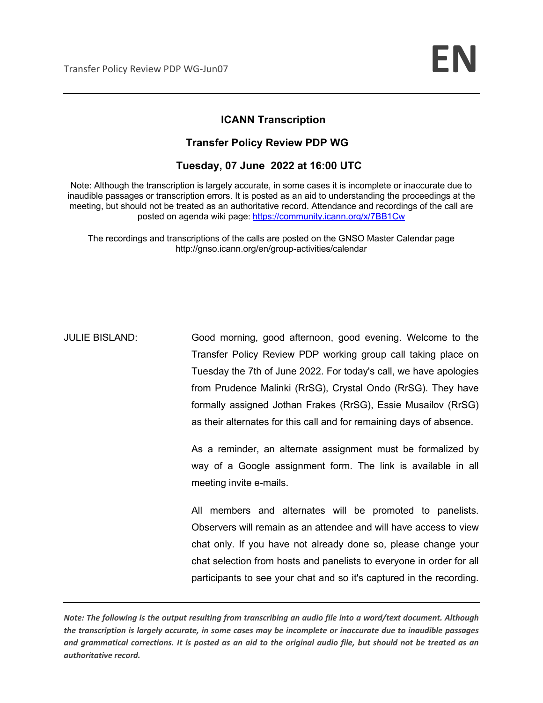### **ICANN Transcription**

### **Transfer Policy Review PDP WG**

### **Tuesday, 07 June 2022 at 16:00 UTC**

Note: Although the transcription is largely accurate, in some cases it is incomplete or inaccurate due to inaudible passages or transcription errors. It is posted as an aid to understanding the proceedings at the meeting, but should not be treated as an authoritative record. Attendance and recordings of the call are posted on agenda wiki page: https://community.icann.org/x/7BB1Cw

The recordings and transcriptions of the calls are posted on the GNSO Master Calendar page http://gnso.icann.org/en/group-activities/calendar

JULIE BISLAND: Good morning, good afternoon, good evening. Welcome to the Transfer Policy Review PDP working group call taking place on Tuesday the 7th of June 2022. For today's call, we have apologies from Prudence Malinki (RrSG), Crystal Ondo (RrSG). They have formally assigned Jothan Frakes (RrSG), Essie Musailov (RrSG) as their alternates for this call and for remaining days of absence.

> As a reminder, an alternate assignment must be formalized by way of a Google assignment form. The link is available in all meeting invite e-mails.

> All members and alternates will be promoted to panelists. Observers will remain as an attendee and will have access to view chat only. If you have not already done so, please change your chat selection from hosts and panelists to everyone in order for all participants to see your chat and so it's captured in the recording.

*Note: The following is the output resulting from transcribing an audio file into a word/text document. Although the transcription is largely accurate, in some cases may be incomplete or inaccurate due to inaudible passages and grammatical corrections. It is posted as an aid to the original audio file, but should not be treated as an authoritative record.*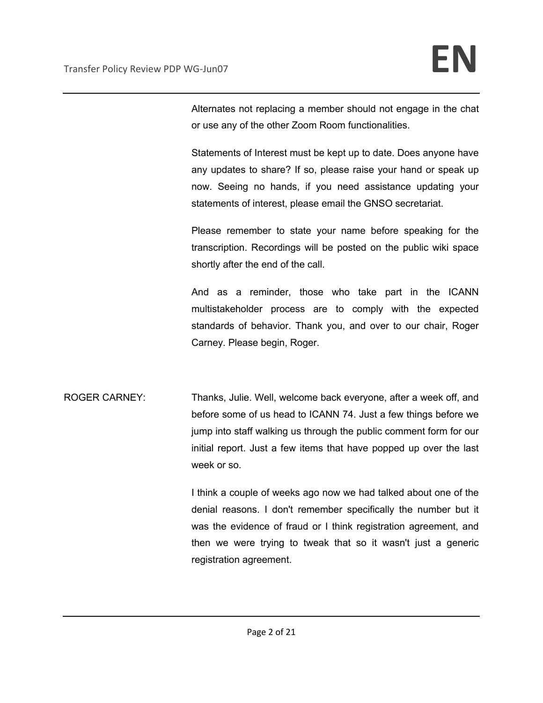Alternates not replacing a member should not engage in the chat or use any of the other Zoom Room functionalities.

Statements of Interest must be kept up to date. Does anyone have any updates to share? If so, please raise your hand or speak up now. Seeing no hands, if you need assistance updating your statements of interest, please email the GNSO secretariat.

Please remember to state your name before speaking for the transcription. Recordings will be posted on the public wiki space shortly after the end of the call.

And as a reminder, those who take part in the ICANN multistakeholder process are to comply with the expected standards of behavior. Thank you, and over to our chair, Roger Carney. Please begin, Roger.

ROGER CARNEY: Thanks, Julie. Well, welcome back everyone, after a week off, and before some of us head to ICANN 74. Just a few things before we jump into staff walking us through the public comment form for our initial report. Just a few items that have popped up over the last week or so.

> I think a couple of weeks ago now we had talked about one of the denial reasons. I don't remember specifically the number but it was the evidence of fraud or I think registration agreement, and then we were trying to tweak that so it wasn't just a generic registration agreement.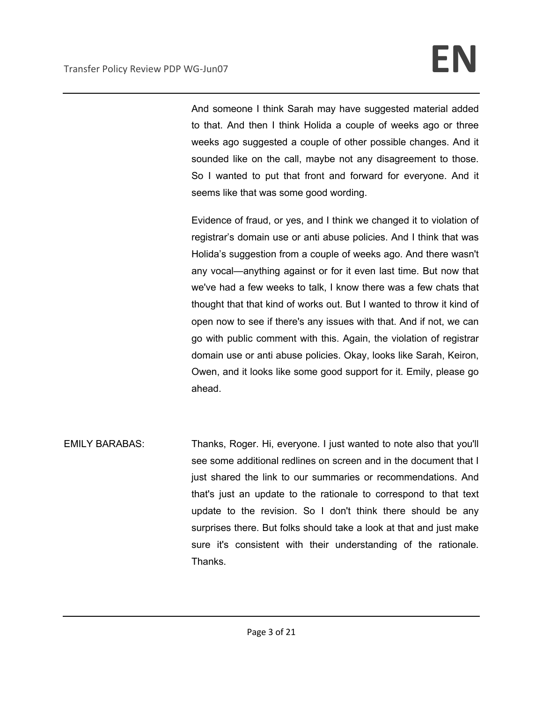And someone I think Sarah may have suggested material added to that. And then I think Holida a couple of weeks ago or three weeks ago suggested a couple of other possible changes. And it sounded like on the call, maybe not any disagreement to those. So I wanted to put that front and forward for everyone. And it seems like that was some good wording.

Evidence of fraud, or yes, and I think we changed it to violation of registrar's domain use or anti abuse policies. And I think that was Holida's suggestion from a couple of weeks ago. And there wasn't any vocal—anything against or for it even last time. But now that we've had a few weeks to talk, I know there was a few chats that thought that that kind of works out. But I wanted to throw it kind of open now to see if there's any issues with that. And if not, we can go with public comment with this. Again, the violation of registrar domain use or anti abuse policies. Okay, looks like Sarah, Keiron, Owen, and it looks like some good support for it. Emily, please go ahead.

EMILY BARABAS: Thanks, Roger. Hi, everyone. I just wanted to note also that you'll see some additional redlines on screen and in the document that I just shared the link to our summaries or recommendations. And that's just an update to the rationale to correspond to that text update to the revision. So I don't think there should be any surprises there. But folks should take a look at that and just make sure it's consistent with their understanding of the rationale. Thanks.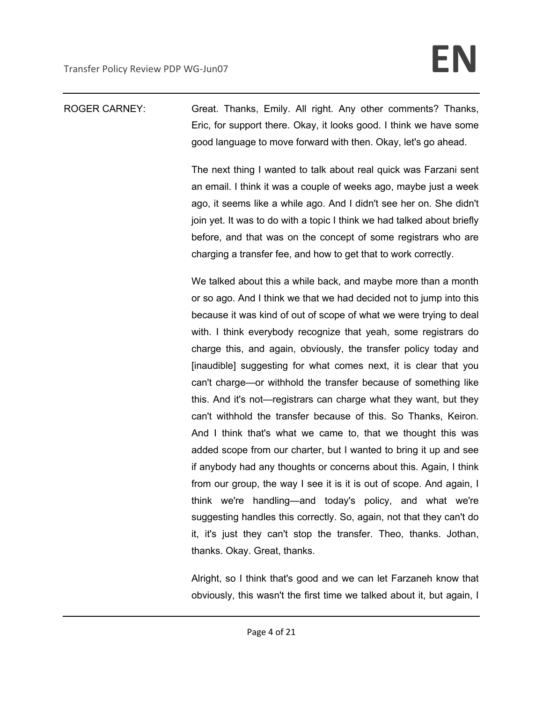## ROGER CARNEY: Great. Thanks, Emily. All right. Any other comments? Thanks, Eric, for support there. Okay, it looks good. I think we have some good language to move forward with then. Okay, let's go ahead.

The next thing I wanted to talk about real quick was Farzani sent an email. I think it was a couple of weeks ago, maybe just a week ago, it seems like a while ago. And I didn't see her on. She didn't join yet. It was to do with a topic I think we had talked about briefly before, and that was on the concept of some registrars who are charging a transfer fee, and how to get that to work correctly.

We talked about this a while back, and maybe more than a month or so ago. And I think we that we had decided not to jump into this because it was kind of out of scope of what we were trying to deal with. I think everybody recognize that yeah, some registrars do charge this, and again, obviously, the transfer policy today and [inaudible] suggesting for what comes next, it is clear that you can't charge—or withhold the transfer because of something like this. And it's not—registrars can charge what they want, but they can't withhold the transfer because of this. So Thanks, Keiron. And I think that's what we came to, that we thought this was added scope from our charter, but I wanted to bring it up and see if anybody had any thoughts or concerns about this. Again, I think from our group, the way I see it is it is out of scope. And again, I think we're handling—and today's policy, and what we're suggesting handles this correctly. So, again, not that they can't do it, it's just they can't stop the transfer. Theo, thanks. Jothan, thanks. Okay. Great, thanks.

Alright, so I think that's good and we can let Farzaneh know that obviously, this wasn't the first time we talked about it, but again, I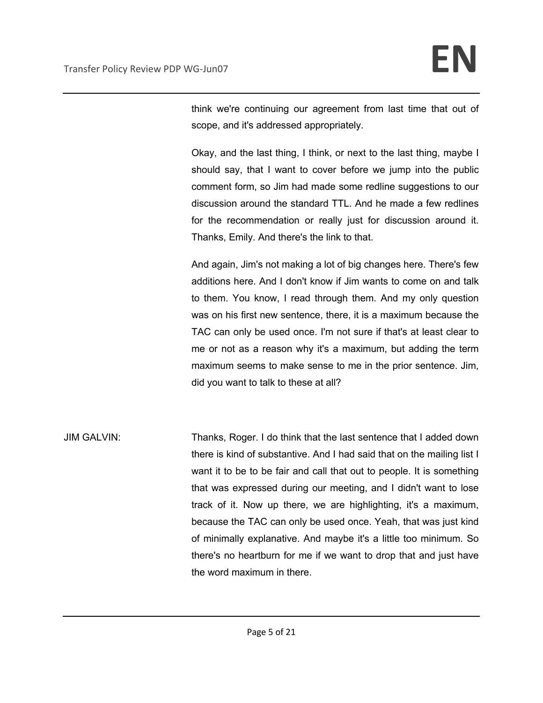think we're continuing our agreement from last time that out of scope, and it's addressed appropriately.

Okay, and the last thing, I think, or next to the last thing, maybe I should say, that I want to cover before we jump into the public comment form, so Jim had made some redline suggestions to our discussion around the standard TTL. And he made a few redlines for the recommendation or really just for discussion around it. Thanks, Emily. And there's the link to that.

And again, Jim's not making a lot of big changes here. There's few additions here. And I don't know if Jim wants to come on and talk to them. You know, I read through them. And my only question was on his first new sentence, there, it is a maximum because the TAC can only be used once. I'm not sure if that's at least clear to me or not as a reason why it's a maximum, but adding the term maximum seems to make sense to me in the prior sentence. Jim, did you want to talk to these at all?

JIM GALVIN: Thanks, Roger. I do think that the last sentence that I added down there is kind of substantive. And I had said that on the mailing list I want it to be to be fair and call that out to people. It is something that was expressed during our meeting, and I didn't want to lose track of it. Now up there, we are highlighting, it's a maximum, because the TAC can only be used once. Yeah, that was just kind of minimally explanative. And maybe it's a little too minimum. So there's no heartburn for me if we want to drop that and just have the word maximum in there.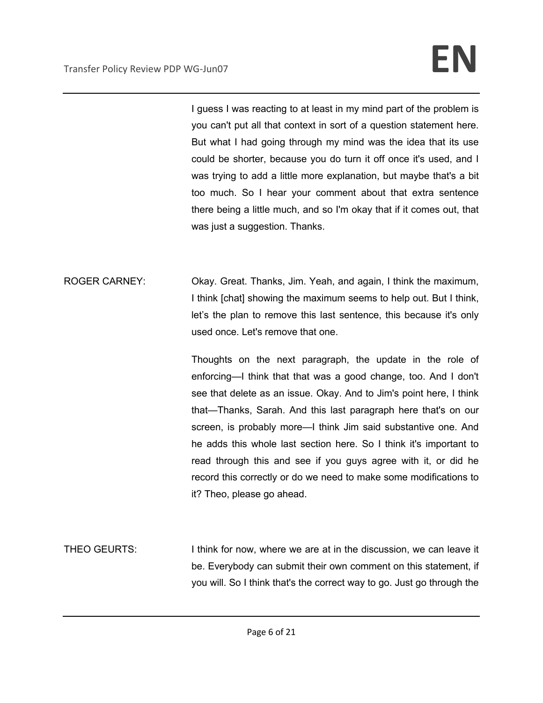I guess I was reacting to at least in my mind part of the problem is you can't put all that context in sort of a question statement here. But what I had going through my mind was the idea that its use could be shorter, because you do turn it off once it's used, and I was trying to add a little more explanation, but maybe that's a bit too much. So I hear your comment about that extra sentence there being a little much, and so I'm okay that if it comes out, that was just a suggestion. Thanks.

ROGER CARNEY: Okay. Great. Thanks, Jim. Yeah, and again, I think the maximum, I think [chat] showing the maximum seems to help out. But I think, let's the plan to remove this last sentence, this because it's only used once. Let's remove that one.

> Thoughts on the next paragraph, the update in the role of enforcing—I think that that was a good change, too. And I don't see that delete as an issue. Okay. And to Jim's point here, I think that—Thanks, Sarah. And this last paragraph here that's on our screen, is probably more—I think Jim said substantive one. And he adds this whole last section here. So I think it's important to read through this and see if you guys agree with it, or did he record this correctly or do we need to make some modifications to it? Theo, please go ahead.

THEO GEURTS: I think for now, where we are at in the discussion, we can leave it be. Everybody can submit their own comment on this statement, if you will. So I think that's the correct way to go. Just go through the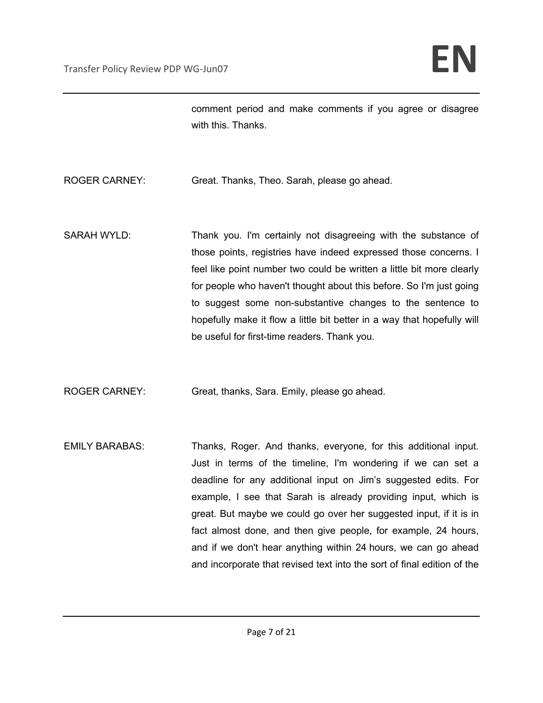comment period and make comments if you agree or disagree with this. Thanks.

ROGER CARNEY: Great. Thanks, Theo. Sarah, please go ahead.

SARAH WYLD: Thank you. I'm certainly not disagreeing with the substance of those points, registries have indeed expressed those concerns. I feel like point number two could be written a little bit more clearly for people who haven't thought about this before. So I'm just going to suggest some non-substantive changes to the sentence to hopefully make it flow a little bit better in a way that hopefully will be useful for first-time readers. Thank you.

ROGER CARNEY: Great, thanks, Sara. Emily, please go ahead.

EMILY BARABAS: Thanks, Roger. And thanks, everyone, for this additional input. Just in terms of the timeline, I'm wondering if we can set a deadline for any additional input on Jim's suggested edits. For example, I see that Sarah is already providing input, which is great. But maybe we could go over her suggested input, if it is in fact almost done, and then give people, for example, 24 hours, and if we don't hear anything within 24 hours, we can go ahead and incorporate that revised text into the sort of final edition of the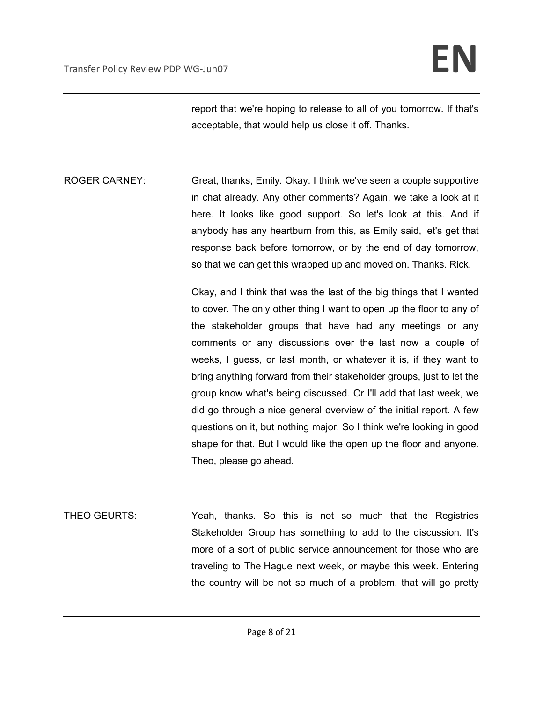report that we're hoping to release to all of you tomorrow. If that's acceptable, that would help us close it off. Thanks.

ROGER CARNEY: Great, thanks, Emily. Okay. I think we've seen a couple supportive in chat already. Any other comments? Again, we take a look at it here. It looks like good support. So let's look at this. And if anybody has any heartburn from this, as Emily said, let's get that response back before tomorrow, or by the end of day tomorrow, so that we can get this wrapped up and moved on. Thanks. Rick.

> Okay, and I think that was the last of the big things that I wanted to cover. The only other thing I want to open up the floor to any of the stakeholder groups that have had any meetings or any comments or any discussions over the last now a couple of weeks, I guess, or last month, or whatever it is, if they want to bring anything forward from their stakeholder groups, just to let the group know what's being discussed. Or I'll add that last week, we did go through a nice general overview of the initial report. A few questions on it, but nothing major. So I think we're looking in good shape for that. But I would like the open up the floor and anyone. Theo, please go ahead.

THEO GEURTS: Yeah, thanks. So this is not so much that the Registries Stakeholder Group has something to add to the discussion. It's more of a sort of public service announcement for those who are traveling to The Hague next week, or maybe this week. Entering the country will be not so much of a problem, that will go pretty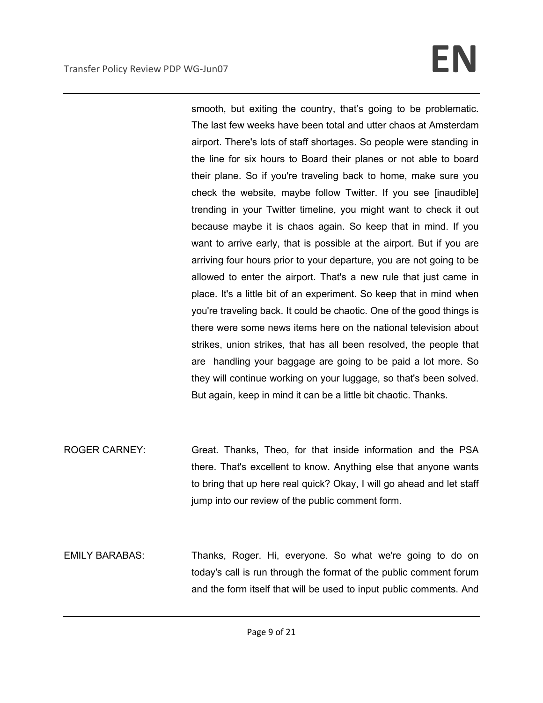# **Transfer Policy Review PDP WG-Jun07 EN**

smooth, but exiting the country, that's going to be problematic. The last few weeks have been total and utter chaos at Amsterdam airport. There's lots of staff shortages. So people were standing in the line for six hours to Board their planes or not able to board their plane. So if you're traveling back to home, make sure you check the website, maybe follow Twitter. If you see [inaudible] trending in your Twitter timeline, you might want to check it out because maybe it is chaos again. So keep that in mind. If you want to arrive early, that is possible at the airport. But if you are arriving four hours prior to your departure, you are not going to be allowed to enter the airport. That's a new rule that just came in place. It's a little bit of an experiment. So keep that in mind when you're traveling back. It could be chaotic. One of the good things is there were some news items here on the national television about strikes, union strikes, that has all been resolved, the people that are handling your baggage are going to be paid a lot more. So they will continue working on your luggage, so that's been solved. But again, keep in mind it can be a little bit chaotic. Thanks.

- ROGER CARNEY: Great. Thanks, Theo, for that inside information and the PSA there. That's excellent to know. Anything else that anyone wants to bring that up here real quick? Okay, I will go ahead and let staff jump into our review of the public comment form.
- EMILY BARABAS: Thanks, Roger. Hi, everyone. So what we're going to do on today's call is run through the format of the public comment forum and the form itself that will be used to input public comments. And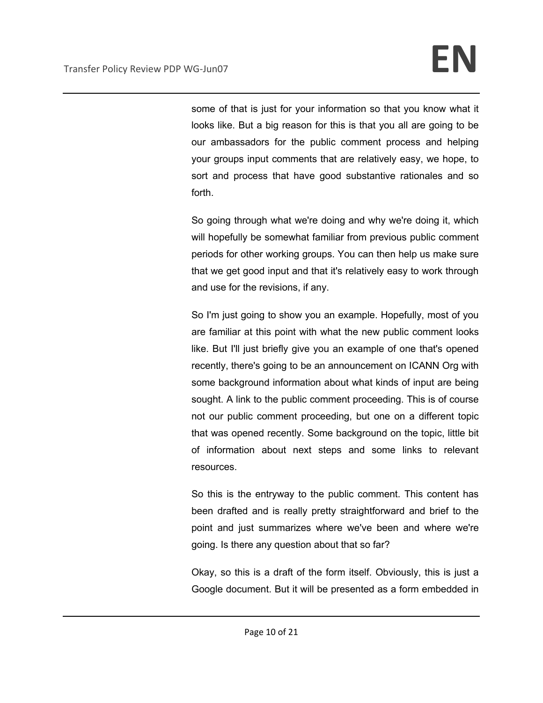some of that is just for your information so that you know what it looks like. But a big reason for this is that you all are going to be our ambassadors for the public comment process and helping your groups input comments that are relatively easy, we hope, to sort and process that have good substantive rationales and so forth.

So going through what we're doing and why we're doing it, which will hopefully be somewhat familiar from previous public comment periods for other working groups. You can then help us make sure that we get good input and that it's relatively easy to work through and use for the revisions, if any.

So I'm just going to show you an example. Hopefully, most of you are familiar at this point with what the new public comment looks like. But I'll just briefly give you an example of one that's opened recently, there's going to be an announcement on ICANN Org with some background information about what kinds of input are being sought. A link to the public comment proceeding. This is of course not our public comment proceeding, but one on a different topic that was opened recently. Some background on the topic, little bit of information about next steps and some links to relevant resources.

So this is the entryway to the public comment. This content has been drafted and is really pretty straightforward and brief to the point and just summarizes where we've been and where we're going. Is there any question about that so far?

Okay, so this is a draft of the form itself. Obviously, this is just a Google document. But it will be presented as a form embedded in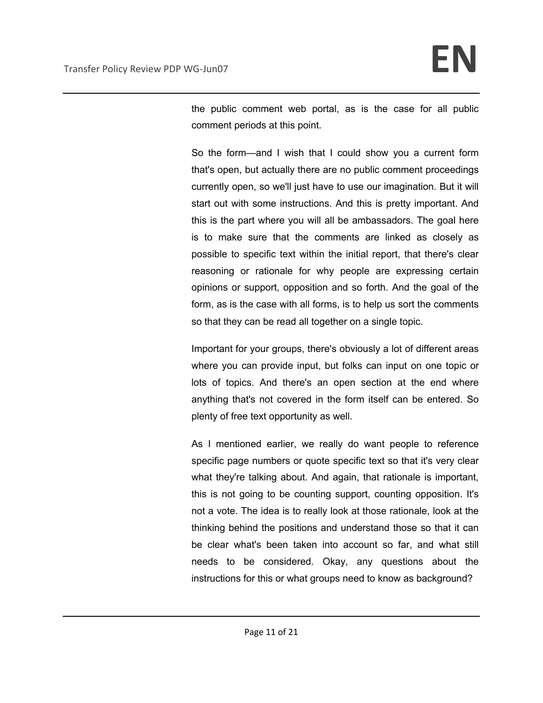the public comment web portal, as is the case for all public comment periods at this point.

So the form—and I wish that I could show you a current form that's open, but actually there are no public comment proceedings currently open, so we'll just have to use our imagination. But it will start out with some instructions. And this is pretty important. And this is the part where you will all be ambassadors. The goal here is to make sure that the comments are linked as closely as possible to specific text within the initial report, that there's clear reasoning or rationale for why people are expressing certain opinions or support, opposition and so forth. And the goal of the form, as is the case with all forms, is to help us sort the comments so that they can be read all together on a single topic.

Important for your groups, there's obviously a lot of different areas where you can provide input, but folks can input on one topic or lots of topics. And there's an open section at the end where anything that's not covered in the form itself can be entered. So plenty of free text opportunity as well.

As I mentioned earlier, we really do want people to reference specific page numbers or quote specific text so that it's very clear what they're talking about. And again, that rationale is important, this is not going to be counting support, counting opposition. It's not a vote. The idea is to really look at those rationale, look at the thinking behind the positions and understand those so that it can be clear what's been taken into account so far, and what still needs to be considered. Okay, any questions about the instructions for this or what groups need to know as background?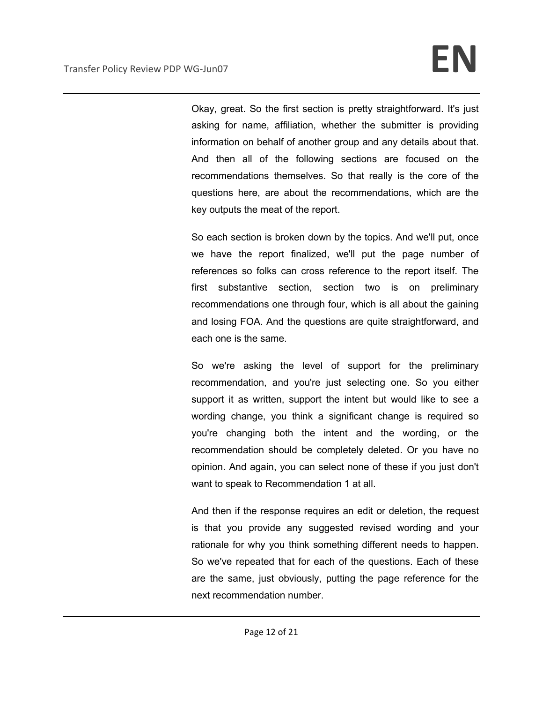Okay, great. So the first section is pretty straightforward. It's just asking for name, affiliation, whether the submitter is providing information on behalf of another group and any details about that. And then all of the following sections are focused on the recommendations themselves. So that really is the core of the questions here, are about the recommendations, which are the key outputs the meat of the report.

So each section is broken down by the topics. And we'll put, once we have the report finalized, we'll put the page number of references so folks can cross reference to the report itself. The first substantive section, section two is on preliminary recommendations one through four, which is all about the gaining and losing FOA. And the questions are quite straightforward, and each one is the same.

So we're asking the level of support for the preliminary recommendation, and you're just selecting one. So you either support it as written, support the intent but would like to see a wording change, you think a significant change is required so you're changing both the intent and the wording, or the recommendation should be completely deleted. Or you have no opinion. And again, you can select none of these if you just don't want to speak to Recommendation 1 at all.

And then if the response requires an edit or deletion, the request is that you provide any suggested revised wording and your rationale for why you think something different needs to happen. So we've repeated that for each of the questions. Each of these are the same, just obviously, putting the page reference for the next recommendation number.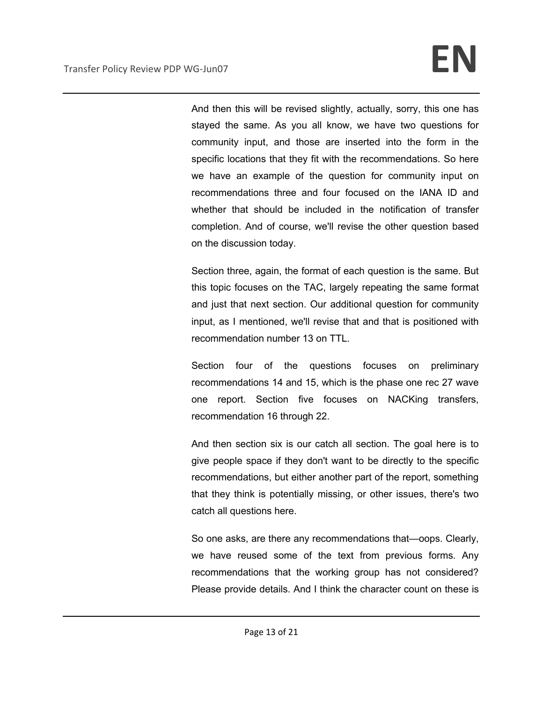And then this will be revised slightly, actually, sorry, this one has stayed the same. As you all know, we have two questions for community input, and those are inserted into the form in the specific locations that they fit with the recommendations. So here we have an example of the question for community input on recommendations three and four focused on the IANA ID and whether that should be included in the notification of transfer completion. And of course, we'll revise the other question based on the discussion today.

Section three, again, the format of each question is the same. But this topic focuses on the TAC, largely repeating the same format and just that next section. Our additional question for community input, as I mentioned, we'll revise that and that is positioned with recommendation number 13 on TTL.

Section four of the questions focuses on preliminary recommendations 14 and 15, which is the phase one rec 27 wave one report. Section five focuses on NACKing transfers, recommendation 16 through 22.

And then section six is our catch all section. The goal here is to give people space if they don't want to be directly to the specific recommendations, but either another part of the report, something that they think is potentially missing, or other issues, there's two catch all questions here.

So one asks, are there any recommendations that—oops. Clearly, we have reused some of the text from previous forms. Any recommendations that the working group has not considered? Please provide details. And I think the character count on these is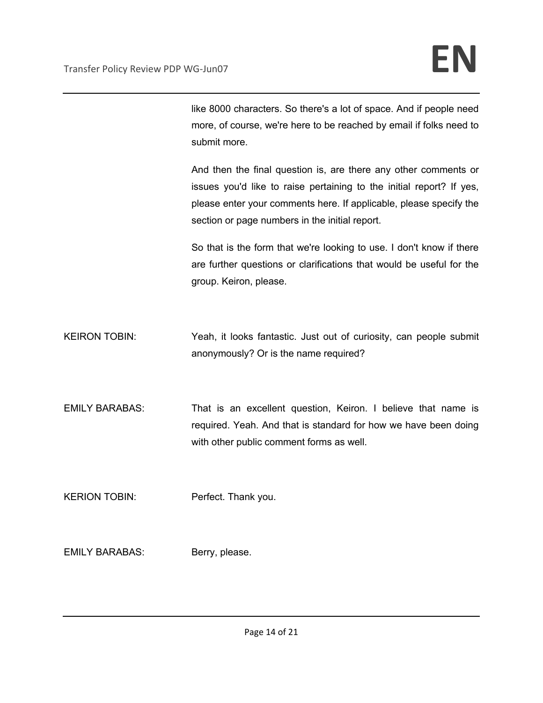like 8000 characters. So there's a lot of space. And if people need more, of course, we're here to be reached by email if folks need to submit more.

And then the final question is, are there any other comments or issues you'd like to raise pertaining to the initial report? If yes, please enter your comments here. If applicable, please specify the section or page numbers in the initial report.

So that is the form that we're looking to use. I don't know if there are further questions or clarifications that would be useful for the group. Keiron, please.

- KEIRON TOBIN: Yeah, it looks fantastic. Just out of curiosity, can people submit anonymously? Or is the name required?
- EMILY BARABAS: That is an excellent question, Keiron. I believe that name is required. Yeah. And that is standard for how we have been doing with other public comment forms as well.

KERION TOBIN: Perfect. Thank you.

EMILY BARABAS: Berry, please.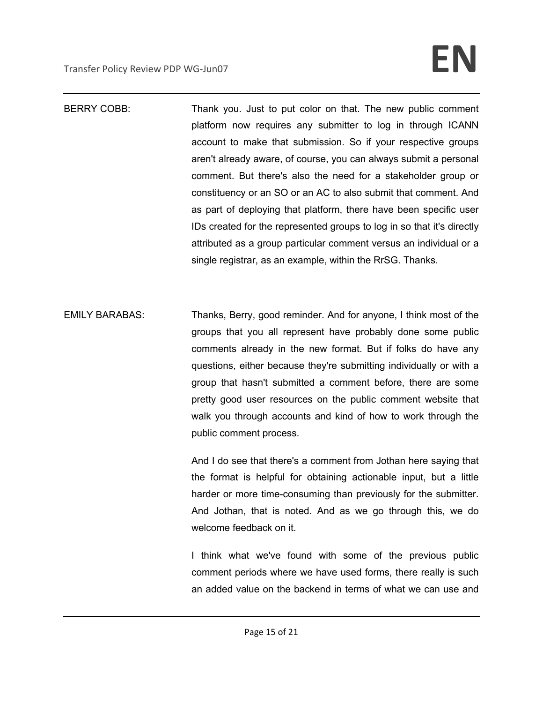# **Transfer Policy Review PDP WG-Jun07 EN**

BERRY COBB: Thank you. Just to put color on that. The new public comment platform now requires any submitter to log in through ICANN account to make that submission. So if your respective groups aren't already aware, of course, you can always submit a personal comment. But there's also the need for a stakeholder group or constituency or an SO or an AC to also submit that comment. And as part of deploying that platform, there have been specific user IDs created for the represented groups to log in so that it's directly attributed as a group particular comment versus an individual or a single registrar, as an example, within the RrSG. Thanks.

EMILY BARABAS: Thanks, Berry, good reminder. And for anyone, I think most of the groups that you all represent have probably done some public comments already in the new format. But if folks do have any questions, either because they're submitting individually or with a group that hasn't submitted a comment before, there are some pretty good user resources on the public comment website that walk you through accounts and kind of how to work through the public comment process.

> And I do see that there's a comment from Jothan here saying that the format is helpful for obtaining actionable input, but a little harder or more time-consuming than previously for the submitter. And Jothan, that is noted. And as we go through this, we do welcome feedback on it.

> I think what we've found with some of the previous public comment periods where we have used forms, there really is such an added value on the backend in terms of what we can use and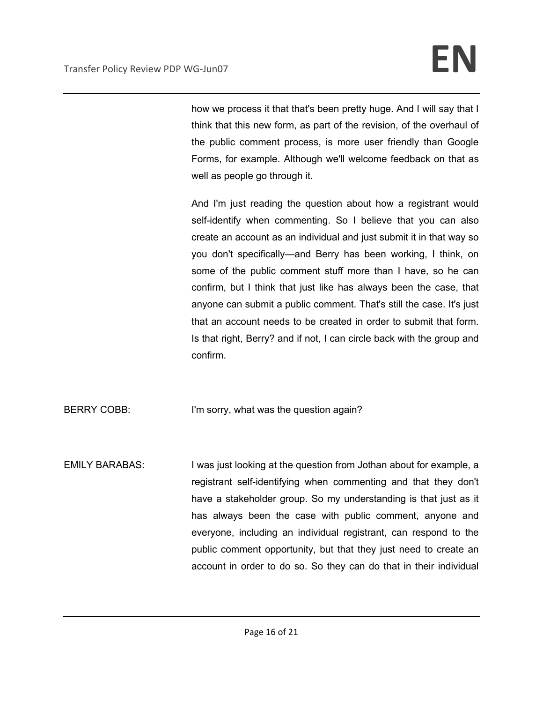how we process it that that's been pretty huge. And I will say that I think that this new form, as part of the revision, of the overhaul of the public comment process, is more user friendly than Google Forms, for example. Although we'll welcome feedback on that as well as people go through it.

And I'm just reading the question about how a registrant would self-identify when commenting. So I believe that you can also create an account as an individual and just submit it in that way so you don't specifically—and Berry has been working, I think, on some of the public comment stuff more than I have, so he can confirm, but I think that just like has always been the case, that anyone can submit a public comment. That's still the case. It's just that an account needs to be created in order to submit that form. Is that right, Berry? and if not, I can circle back with the group and confirm.

BERRY COBB: I'm sorry, what was the question again?

EMILY BARABAS: I was just looking at the question from Jothan about for example, a registrant self-identifying when commenting and that they don't have a stakeholder group. So my understanding is that just as it has always been the case with public comment, anyone and everyone, including an individual registrant, can respond to the public comment opportunity, but that they just need to create an account in order to do so. So they can do that in their individual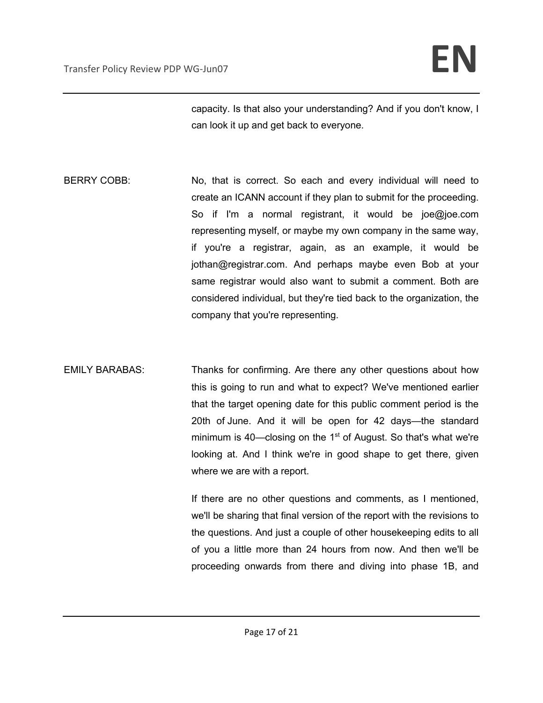capacity. Is that also your understanding? And if you don't know, I can look it up and get back to everyone.

- BERRY COBB: No, that is correct. So each and every individual will need to create an ICANN account if they plan to submit for the proceeding. So if I'm a normal registrant, it would be joe@joe.com representing myself, or maybe my own company in the same way, if you're a registrar, again, as an example, it would be jothan@registrar.com. And perhaps maybe even Bob at your same registrar would also want to submit a comment. Both are considered individual, but they're tied back to the organization, the company that you're representing.
- EMILY BARABAS: Thanks for confirming. Are there any other questions about how this is going to run and what to expect? We've mentioned earlier that the target opening date for this public comment period is the 20th of June. And it will be open for 42 days—the standard minimum is 40—closing on the  $1<sup>st</sup>$  of August. So that's what we're looking at. And I think we're in good shape to get there, given where we are with a report.

If there are no other questions and comments, as I mentioned, we'll be sharing that final version of the report with the revisions to the questions. And just a couple of other housekeeping edits to all of you a little more than 24 hours from now. And then we'll be proceeding onwards from there and diving into phase 1B, and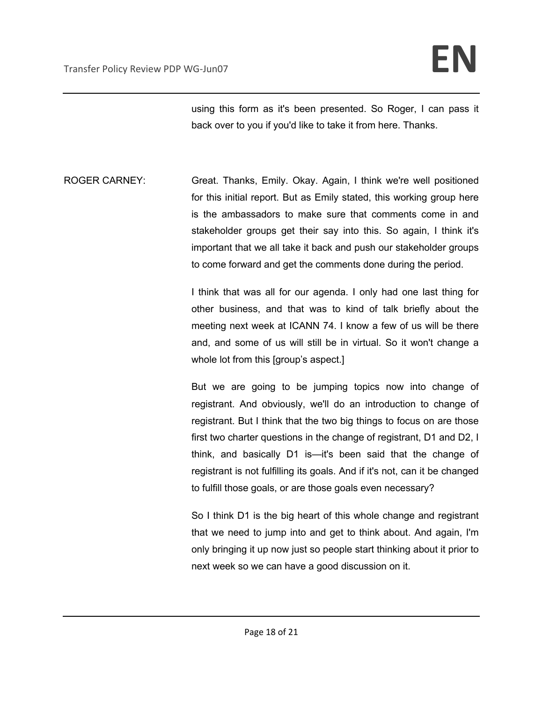using this form as it's been presented. So Roger, I can pass it back over to you if you'd like to take it from here. Thanks.

ROGER CARNEY: Great. Thanks, Emily. Okay. Again, I think we're well positioned for this initial report. But as Emily stated, this working group here is the ambassadors to make sure that comments come in and stakeholder groups get their say into this. So again, I think it's important that we all take it back and push our stakeholder groups to come forward and get the comments done during the period.

> I think that was all for our agenda. I only had one last thing for other business, and that was to kind of talk briefly about the meeting next week at ICANN 74. I know a few of us will be there and, and some of us will still be in virtual. So it won't change a whole lot from this [group's aspect.]

> But we are going to be jumping topics now into change of registrant. And obviously, we'll do an introduction to change of registrant. But I think that the two big things to focus on are those first two charter questions in the change of registrant, D1 and D2, I think, and basically D1 is—it's been said that the change of registrant is not fulfilling its goals. And if it's not, can it be changed to fulfill those goals, or are those goals even necessary?

> So I think D1 is the big heart of this whole change and registrant that we need to jump into and get to think about. And again, I'm only bringing it up now just so people start thinking about it prior to next week so we can have a good discussion on it.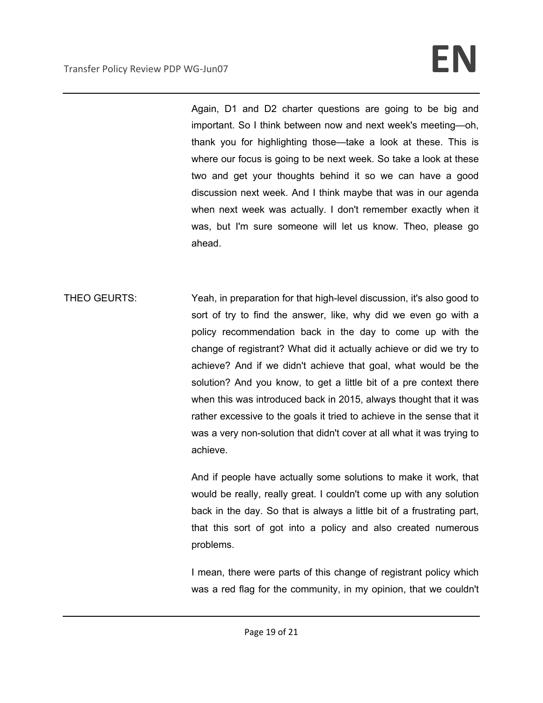Again, D1 and D2 charter questions are going to be big and important. So I think between now and next week's meeting—oh, thank you for highlighting those—take a look at these. This is where our focus is going to be next week. So take a look at these two and get your thoughts behind it so we can have a good discussion next week. And I think maybe that was in our agenda when next week was actually. I don't remember exactly when it was, but I'm sure someone will let us know. Theo, please go ahead.

THEO GEURTS: Yeah, in preparation for that high-level discussion, it's also good to sort of try to find the answer, like, why did we even go with a policy recommendation back in the day to come up with the change of registrant? What did it actually achieve or did we try to achieve? And if we didn't achieve that goal, what would be the solution? And you know, to get a little bit of a pre context there when this was introduced back in 2015, always thought that it was rather excessive to the goals it tried to achieve in the sense that it was a very non-solution that didn't cover at all what it was trying to achieve.

> And if people have actually some solutions to make it work, that would be really, really great. I couldn't come up with any solution back in the day. So that is always a little bit of a frustrating part, that this sort of got into a policy and also created numerous problems.

> I mean, there were parts of this change of registrant policy which was a red flag for the community, in my opinion, that we couldn't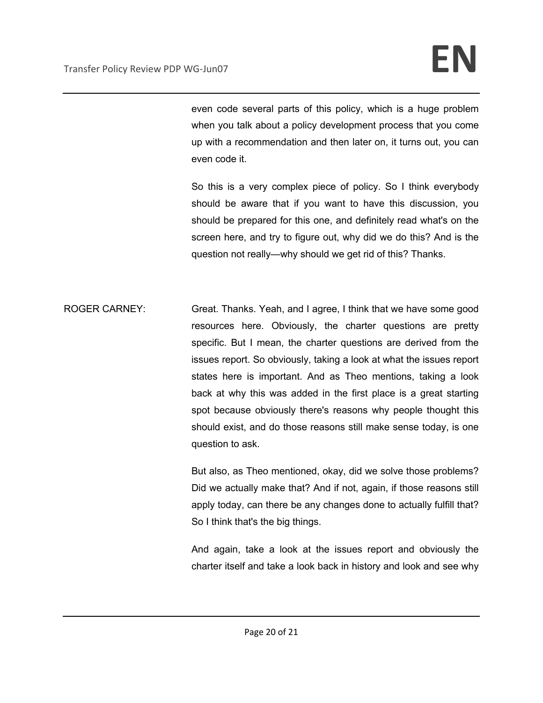even code several parts of this policy, which is a huge problem when you talk about a policy development process that you come up with a recommendation and then later on, it turns out, you can even code it.

So this is a very complex piece of policy. So I think everybody should be aware that if you want to have this discussion, you should be prepared for this one, and definitely read what's on the screen here, and try to figure out, why did we do this? And is the question not really—why should we get rid of this? Thanks.

ROGER CARNEY: Great. Thanks. Yeah, and I agree, I think that we have some good resources here. Obviously, the charter questions are pretty specific. But I mean, the charter questions are derived from the issues report. So obviously, taking a look at what the issues report states here is important. And as Theo mentions, taking a look back at why this was added in the first place is a great starting spot because obviously there's reasons why people thought this should exist, and do those reasons still make sense today, is one question to ask.

> But also, as Theo mentioned, okay, did we solve those problems? Did we actually make that? And if not, again, if those reasons still apply today, can there be any changes done to actually fulfill that? So I think that's the big things.

> And again, take a look at the issues report and obviously the charter itself and take a look back in history and look and see why